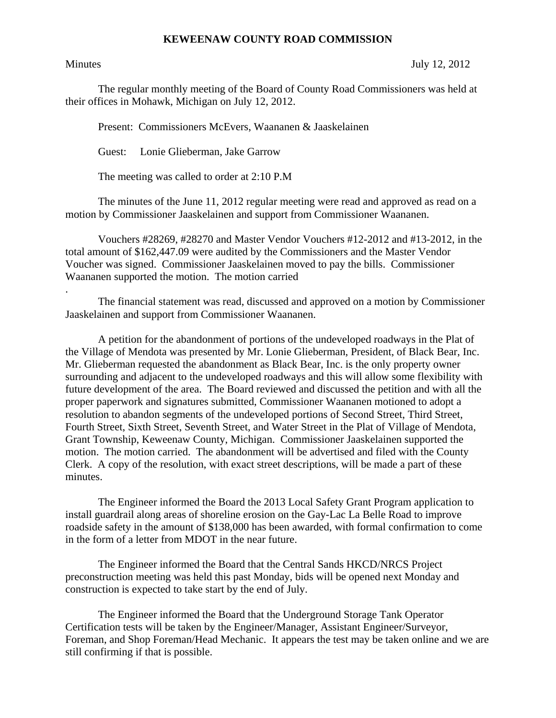## **KEWEENAW COUNTY ROAD COMMISSION**

.

Minutes July 12, 2012

The regular monthly meeting of the Board of County Road Commissioners was held at their offices in Mohawk, Michigan on July 12, 2012.

Present: Commissioners McEvers, Waananen & Jaaskelainen

Guest: Lonie Glieberman, Jake Garrow

The meeting was called to order at 2:10 P.M

 The minutes of the June 11, 2012 regular meeting were read and approved as read on a motion by Commissioner Jaaskelainen and support from Commissioner Waananen.

 Vouchers #28269, #28270 and Master Vendor Vouchers #12-2012 and #13-2012, in the total amount of \$162,447.09 were audited by the Commissioners and the Master Vendor Voucher was signed. Commissioner Jaaskelainen moved to pay the bills. Commissioner Waananen supported the motion. The motion carried

 The financial statement was read, discussed and approved on a motion by Commissioner Jaaskelainen and support from Commissioner Waananen.

 A petition for the abandonment of portions of the undeveloped roadways in the Plat of the Village of Mendota was presented by Mr. Lonie Glieberman, President, of Black Bear, Inc. Mr. Glieberman requested the abandonment as Black Bear, Inc. is the only property owner surrounding and adjacent to the undeveloped roadways and this will allow some flexibility with future development of the area. The Board reviewed and discussed the petition and with all the proper paperwork and signatures submitted, Commissioner Waananen motioned to adopt a resolution to abandon segments of the undeveloped portions of Second Street, Third Street, Fourth Street, Sixth Street, Seventh Street, and Water Street in the Plat of Village of Mendota, Grant Township, Keweenaw County, Michigan. Commissioner Jaaskelainen supported the motion. The motion carried. The abandonment will be advertised and filed with the County Clerk. A copy of the resolution, with exact street descriptions, will be made a part of these minutes.

 The Engineer informed the Board the 2013 Local Safety Grant Program application to install guardrail along areas of shoreline erosion on the Gay-Lac La Belle Road to improve roadside safety in the amount of \$138,000 has been awarded, with formal confirmation to come in the form of a letter from MDOT in the near future.

 The Engineer informed the Board that the Central Sands HKCD/NRCS Project preconstruction meeting was held this past Monday, bids will be opened next Monday and construction is expected to take start by the end of July.

 The Engineer informed the Board that the Underground Storage Tank Operator Certification tests will be taken by the Engineer/Manager, Assistant Engineer/Surveyor, Foreman, and Shop Foreman/Head Mechanic. It appears the test may be taken online and we are still confirming if that is possible.